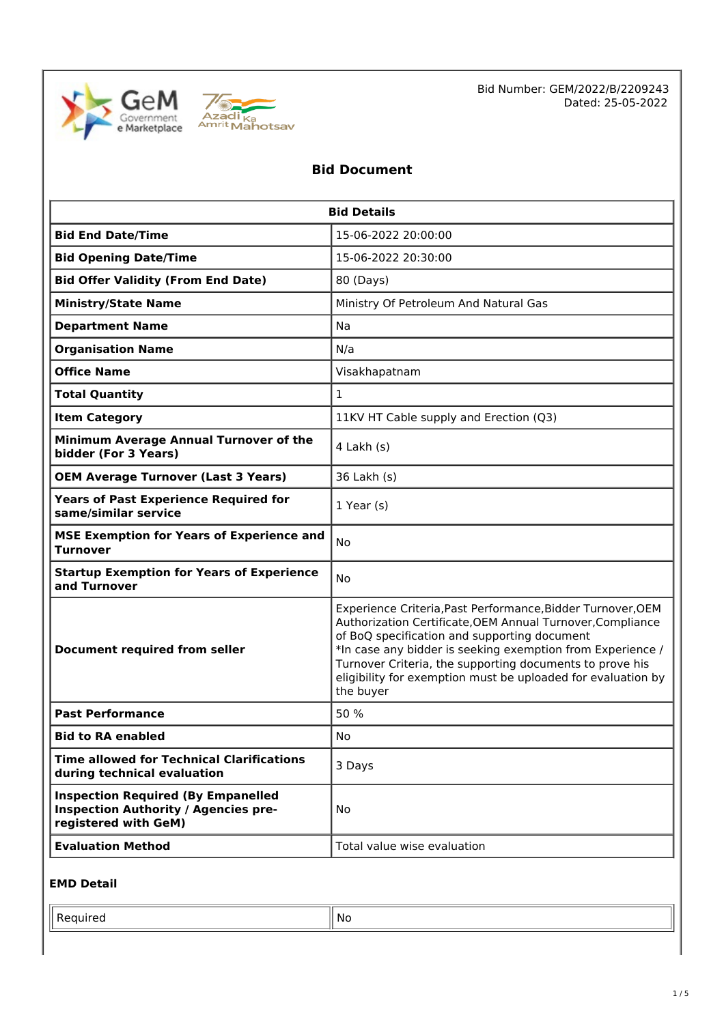



Bid Number: GEM/2022/B/2209243 Dated: 25-05-2022

### **Bid Document**

| <b>Bid Details</b>                                                                                               |                                                                                                                                                                                                                                                                                                                                                                                  |  |
|------------------------------------------------------------------------------------------------------------------|----------------------------------------------------------------------------------------------------------------------------------------------------------------------------------------------------------------------------------------------------------------------------------------------------------------------------------------------------------------------------------|--|
| <b>Bid End Date/Time</b>                                                                                         | 15-06-2022 20:00:00                                                                                                                                                                                                                                                                                                                                                              |  |
| <b>Bid Opening Date/Time</b>                                                                                     | 15-06-2022 20:30:00                                                                                                                                                                                                                                                                                                                                                              |  |
| <b>Bid Offer Validity (From End Date)</b>                                                                        | 80 (Days)                                                                                                                                                                                                                                                                                                                                                                        |  |
| <b>Ministry/State Name</b>                                                                                       | Ministry Of Petroleum And Natural Gas                                                                                                                                                                                                                                                                                                                                            |  |
| <b>Department Name</b>                                                                                           | Na                                                                                                                                                                                                                                                                                                                                                                               |  |
| <b>Organisation Name</b>                                                                                         | N/a                                                                                                                                                                                                                                                                                                                                                                              |  |
| <b>Office Name</b>                                                                                               | Visakhapatnam                                                                                                                                                                                                                                                                                                                                                                    |  |
| <b>Total Quantity</b>                                                                                            | $\mathbf{1}$                                                                                                                                                                                                                                                                                                                                                                     |  |
| <b>Item Category</b>                                                                                             | 11KV HT Cable supply and Erection (Q3)                                                                                                                                                                                                                                                                                                                                           |  |
| Minimum Average Annual Turnover of the<br>bidder (For 3 Years)                                                   | 4 Lakh (s)                                                                                                                                                                                                                                                                                                                                                                       |  |
| <b>OEM Average Turnover (Last 3 Years)</b>                                                                       | 36 Lakh (s)                                                                                                                                                                                                                                                                                                                                                                      |  |
| <b>Years of Past Experience Required for</b><br>same/similar service                                             | $1$ Year (s)                                                                                                                                                                                                                                                                                                                                                                     |  |
| <b>MSE Exemption for Years of Experience and</b><br><b>Turnover</b>                                              | No                                                                                                                                                                                                                                                                                                                                                                               |  |
| <b>Startup Exemption for Years of Experience</b><br>and Turnover                                                 | <b>No</b>                                                                                                                                                                                                                                                                                                                                                                        |  |
| <b>Document required from seller</b>                                                                             | Experience Criteria, Past Performance, Bidder Turnover, OEM<br>Authorization Certificate, OEM Annual Turnover, Compliance<br>of BoQ specification and supporting document<br>*In case any bidder is seeking exemption from Experience /<br>Turnover Criteria, the supporting documents to prove his<br>eligibility for exemption must be uploaded for evaluation by<br>the buyer |  |
| <b>Past Performance</b>                                                                                          | 50 %                                                                                                                                                                                                                                                                                                                                                                             |  |
| <b>Bid to RA enabled</b>                                                                                         | No                                                                                                                                                                                                                                                                                                                                                                               |  |
| <b>Time allowed for Technical Clarifications</b><br>during technical evaluation                                  | 3 Days                                                                                                                                                                                                                                                                                                                                                                           |  |
| <b>Inspection Required (By Empanelled</b><br><b>Inspection Authority / Agencies pre-</b><br>registered with GeM) | No.                                                                                                                                                                                                                                                                                                                                                                              |  |
| <b>Evaluation Method</b>                                                                                         | Total value wise evaluation                                                                                                                                                                                                                                                                                                                                                      |  |

### **EMD Detail**

Required  $\|\mathsf{No}\|$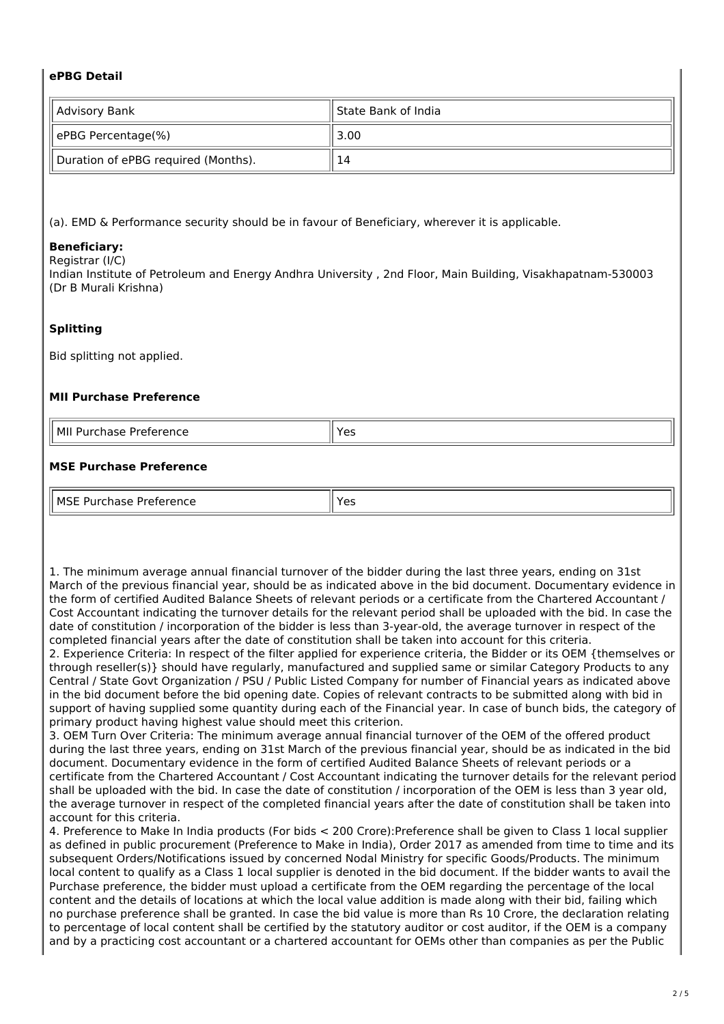### **ePBG Detail**

| Advisory Bank                       | ll State Bank of India |
|-------------------------------------|------------------------|
| ePBG Percentage(%)                  | 3.00                   |
| Duration of ePBG required (Months). | 14                     |

(a). EMD & Performance security should be in favour of Beneficiary, wherever it is applicable.

### **Beneficiary:**

Registrar (I/C)

Indian Institute of Petroleum and Energy Andhra University , 2nd Floor, Main Building, Visakhapatnam-530003 (Dr B Murali Krishna)

### **Splitting**

Bid splitting not applied.

#### **MII Purchase Preference**

| l MII<br>Iirationcon<br>nase<br>Purch<br><b>Preter</b><br>rence | ہ ہ  |
|-----------------------------------------------------------------|------|
| _____<br>_____                                                  | د با |

### **MSE Purchase Preference**

| MCT<br>$\sim$<br>-------<br>.<br>rence<br>IVI.<br>. | ، ص<br>ت ، |
|-----------------------------------------------------|------------|

1. The minimum average annual financial turnover of the bidder during the last three years, ending on 31st March of the previous financial year, should be as indicated above in the bid document. Documentary evidence in the form of certified Audited Balance Sheets of relevant periods or a certificate from the Chartered Accountant / Cost Accountant indicating the turnover details for the relevant period shall be uploaded with the bid. In case the date of constitution / incorporation of the bidder is less than 3-year-old, the average turnover in respect of the completed financial years after the date of constitution shall be taken into account for this criteria.

2. Experience Criteria: In respect of the filter applied for experience criteria, the Bidder or its OEM {themselves or through reseller(s)} should have regularly, manufactured and supplied same or similar Category Products to any Central / State Govt Organization / PSU / Public Listed Company for number of Financial years as indicated above in the bid document before the bid opening date. Copies of relevant contracts to be submitted along with bid in support of having supplied some quantity during each of the Financial year. In case of bunch bids, the category of primary product having highest value should meet this criterion.

3. OEM Turn Over Criteria: The minimum average annual financial turnover of the OEM of the offered product during the last three years, ending on 31st March of the previous financial year, should be as indicated in the bid document. Documentary evidence in the form of certified Audited Balance Sheets of relevant periods or a certificate from the Chartered Accountant / Cost Accountant indicating the turnover details for the relevant period shall be uploaded with the bid. In case the date of constitution / incorporation of the OEM is less than 3 year old, the average turnover in respect of the completed financial years after the date of constitution shall be taken into account for this criteria.

4. Preference to Make In India products (For bids < 200 Crore):Preference shall be given to Class 1 local supplier as defined in public procurement (Preference to Make in India), Order 2017 as amended from time to time and its subsequent Orders/Notifications issued by concerned Nodal Ministry for specific Goods/Products. The minimum local content to qualify as a Class 1 local supplier is denoted in the bid document. If the bidder wants to avail the Purchase preference, the bidder must upload a certificate from the OEM regarding the percentage of the local content and the details of locations at which the local value addition is made along with their bid, failing which no purchase preference shall be granted. In case the bid value is more than Rs 10 Crore, the declaration relating to percentage of local content shall be certified by the statutory auditor or cost auditor, if the OEM is a company and by a practicing cost accountant or a chartered accountant for OEMs other than companies as per the Public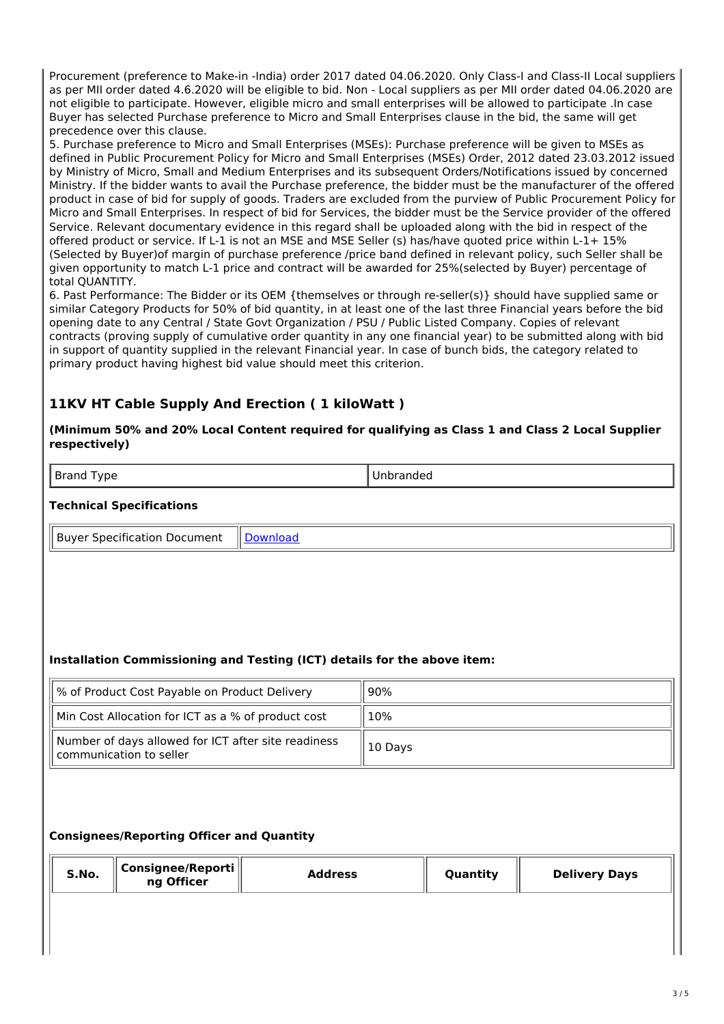Procurement (preference to Make-in -India) order 2017 dated 04.06.2020. Only Class-I and Class-II Local suppliers as per MII order dated 4.6.2020 will be eligible to bid. Non - Local suppliers as per MII order dated 04.06.2020 are not eligible to participate. However, eligible micro and small enterprises will be allowed to participate .In case Buyer has selected Purchase preference to Micro and Small Enterprises clause in the bid, the same will get precedence over this clause.

5. Purchase preference to Micro and Small Enterprises (MSEs): Purchase preference will be given to MSEs as defined in Public Procurement Policy for Micro and Small Enterprises (MSEs) Order, 2012 dated 23.03.2012 issued by Ministry of Micro, Small and Medium Enterprises and its subsequent Orders/Notifications issued by concerned Ministry. If the bidder wants to avail the Purchase preference, the bidder must be the manufacturer of the offered product in case of bid for supply of goods. Traders are excluded from the purview of Public Procurement Policy for Micro and Small Enterprises. In respect of bid for Services, the bidder must be the Service provider of the offered Service. Relevant documentary evidence in this regard shall be uploaded along with the bid in respect of the offered product or service. If L-1 is not an MSE and MSE Seller (s) has/have quoted price within L-1+ 15% (Selected by Buyer)of margin of purchase preference /price band defined in relevant policy, such Seller shall be given opportunity to match L-1 price and contract will be awarded for 25%(selected by Buyer) percentage of total QUANTITY.

6. Past Performance: The Bidder or its OEM {themselves or through re-seller(s)} should have supplied same or similar Category Products for 50% of bid quantity, in at least one of the last three Financial years before the bid opening date to any Central / State Govt Organization / PSU / Public Listed Company. Copies of relevant contracts (proving supply of cumulative order quantity in any one financial year) to be submitted along with bid in support of quantity supplied in the relevant Financial year. In case of bunch bids, the category related to primary product having highest bid value should meet this criterion.

## **11KV HT Cable Supply And Erection ( 1 kiloWatt )**

### **(Minimum 50% and 20% Local Content required for qualifying as Class 1 and Class 2 Local Supplier respectively)**

Brand Type **Unbranded** 

### **Technical Specifications**

Buyer Specification Document | [Download](https://mkp.gem.gov.in/catalog_data/catalog_support_document/buyer_documents/1841546/54/78/703/CatalogAttrs/SpecificationDocument/2022/5/25/11kvhtcable_2022-05-25-19-16-20_c772b024733822a9c1f45d78dadba2d6.pdf)

### **Installation Commissioning and Testing (ICT) details for the above item:**

| % of Product Cost Payable on Product Delivery                                  | 90%     |
|--------------------------------------------------------------------------------|---------|
| Min Cost Allocation for ICT as a % of product cost                             | 10%     |
| Number of days allowed for ICT after site readiness<br>communication to seller | 10 Days |

### **Consignees/Reporting Officer and Quantity**

| S.No. | $^{\shortparallel}$ Consignee/Reporti $\parallel$<br>ng Officer | <b>Address</b> | Quantity | <b>Delivery Days</b> |
|-------|-----------------------------------------------------------------|----------------|----------|----------------------|
|       |                                                                 |                |          |                      |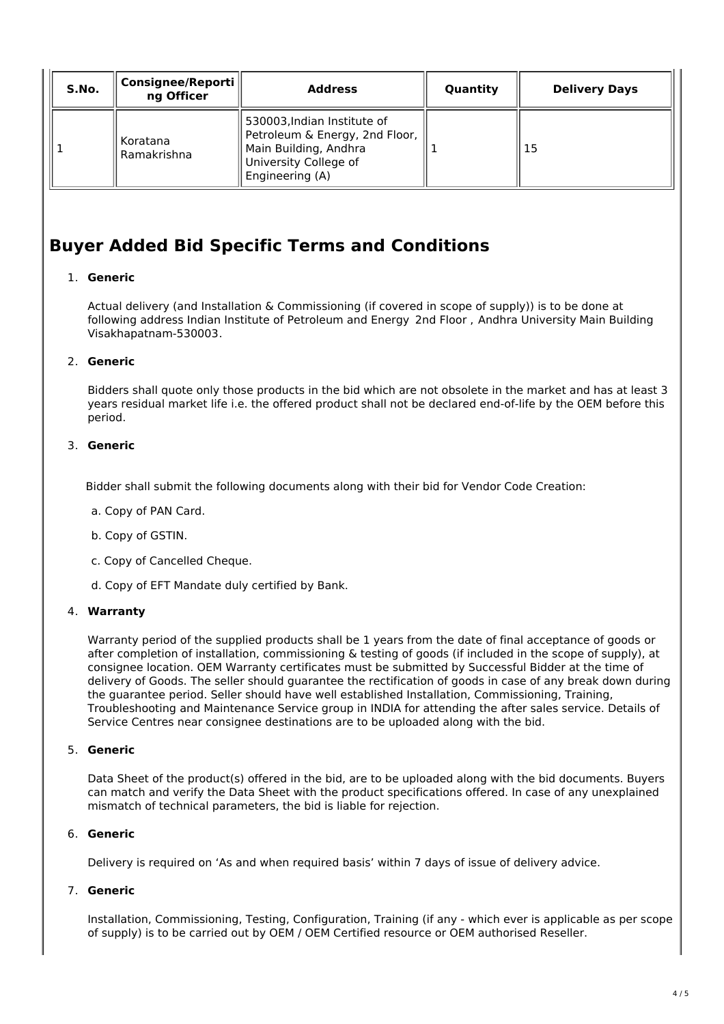| S.No. | Consignee/Reporti<br>ng Officer | <b>Address</b>                                                                                                                     | Quantity | <b>Delivery Days</b> |
|-------|---------------------------------|------------------------------------------------------------------------------------------------------------------------------------|----------|----------------------|
|       | Koratana<br>Ramakrishna         | 530003, Indian Institute of<br>Petroleum & Energy, 2nd Floor,<br>Main Building, Andhra<br>University College of<br>Engineering (A) |          | 15                   |

## **Buyer Added Bid Specific Terms and Conditions**

### 1. **Generic**

Actual delivery (and Installation & Commissioning (if covered in scope of supply)) is to be done at following address Indian Institute of Petroleum and Energy 2nd Floor , Andhra University Main Building Visakhapatnam-530003.

### 2. **Generic**

Bidders shall quote only those products in the bid which are not obsolete in the market and has at least 3 years residual market life i.e. the offered product shall not be declared end-of-life by the OEM before this period.

### 3. **Generic**

Bidder shall submit the following documents along with their bid for Vendor Code Creation:

- a. Copy of PAN Card.
- b. Copy of GSTIN.
- c. Copy of Cancelled Cheque.
- d. Copy of EFT Mandate duly certified by Bank.

### 4. **Warranty**

Warranty period of the supplied products shall be 1 years from the date of final acceptance of goods or after completion of installation, commissioning & testing of goods (if included in the scope of supply), at consignee location. OEM Warranty certificates must be submitted by Successful Bidder at the time of delivery of Goods. The seller should guarantee the rectification of goods in case of any break down during the guarantee period. Seller should have well established Installation, Commissioning, Training, Troubleshooting and Maintenance Service group in INDIA for attending the after sales service. Details of Service Centres near consignee destinations are to be uploaded along with the bid.

### 5. **Generic**

Data Sheet of the product(s) offered in the bid, are to be uploaded along with the bid documents. Buyers can match and verify the Data Sheet with the product specifications offered. In case of any unexplained mismatch of technical parameters, the bid is liable for rejection.

### 6. **Generic**

Delivery is required on 'As and when required basis' within 7 days of issue of delivery advice.

### 7. **Generic**

Installation, Commissioning, Testing, Configuration, Training (if any - which ever is applicable as per scope of supply) is to be carried out by OEM / OEM Certified resource or OEM authorised Reseller.